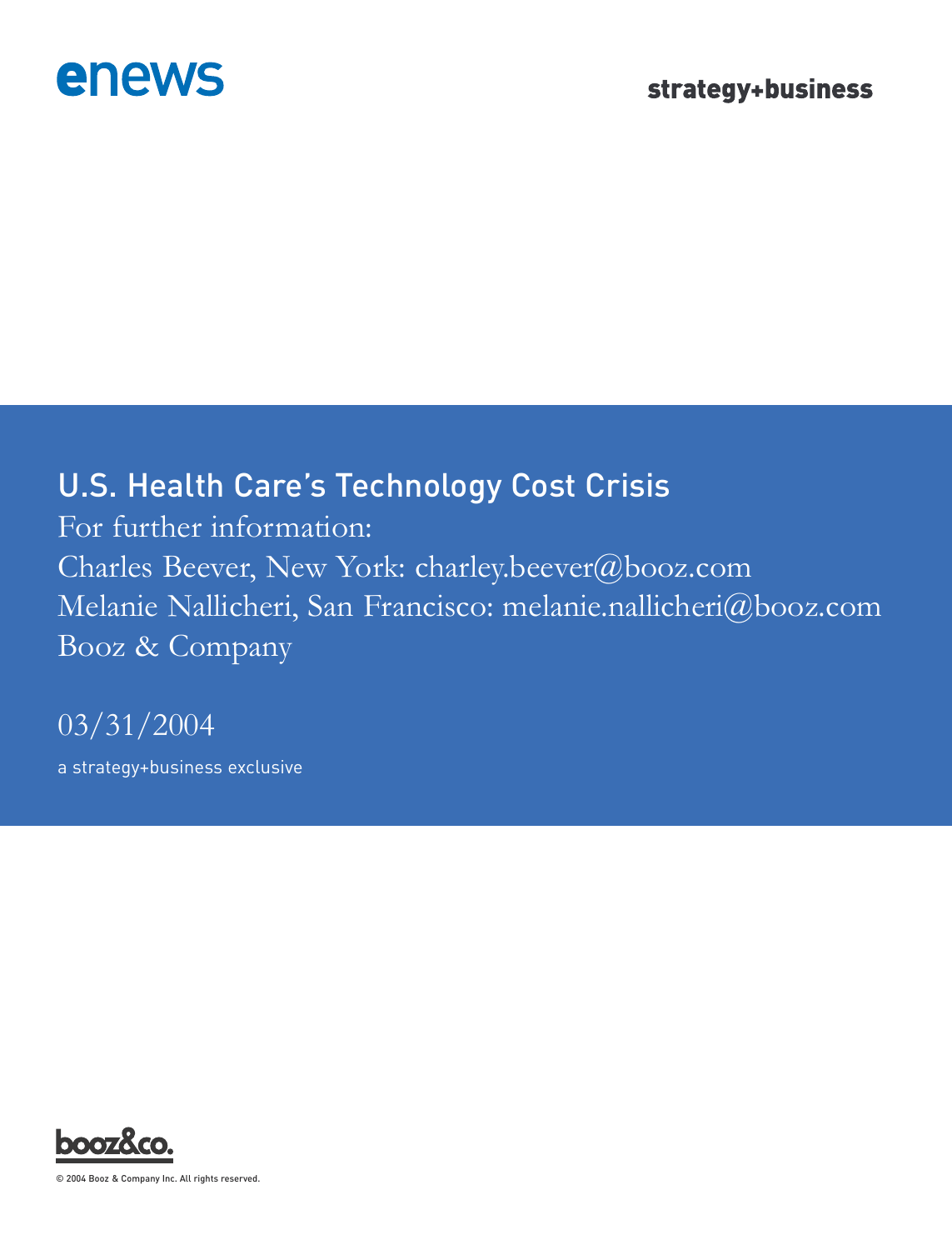

# U.S. Health Care's Technology Cost Crisis

For further information: Charles Beever, New York: charley.beever@booz.com Melanie Nallicheri, San Francisco: melanie.nallicheri@booz.com Booz & Company

03/31/2004

a strategy+business exclusive



© 2004 Booz & Company Inc. All rights reserved.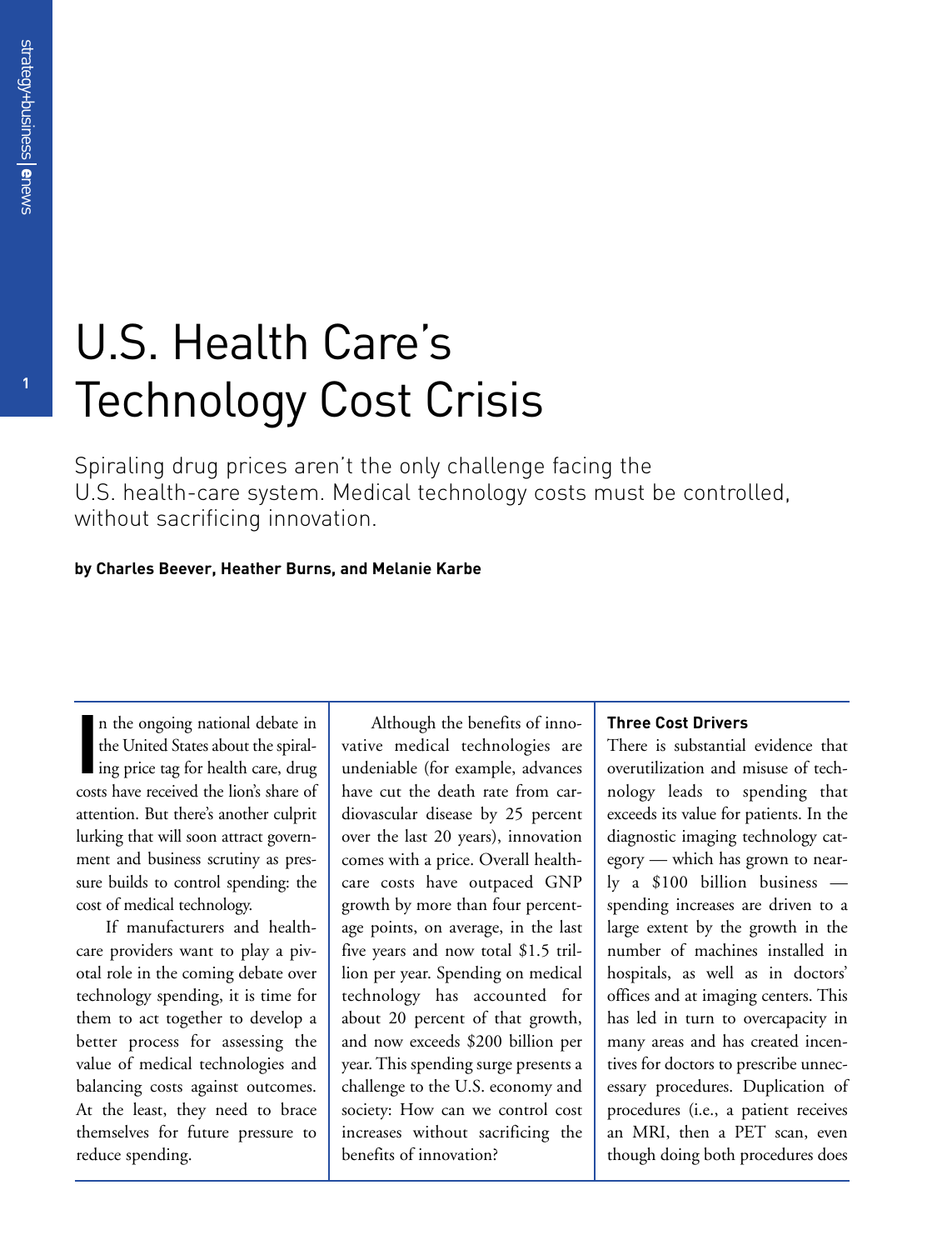# U.S. Health Care's Technology Cost Crisis

Spiraling drug prices aren't the only challenge facing the U.S. health-care system. Medical technology costs must be controlled, without sacrificing innovation.

## **by Charles Beever, Heather Burns, and Melanie Karbe**

In the ongoing national debate in<br>the United States about the spiral-<br>ing price tag for health care, drug<br>costs have received the lion's share of n the ongoing national debate in the United States about the spiraling price tag for health care, drug attention. But there's another culprit lurking that will soon attract government and business scrutiny as pressure builds to control spending: the cost of medical technology.

If manufacturers and healthcare providers want to play a pivotal role in the coming debate over technology spending, it is time for them to act together to develop a better process for assessing the value of medical technologies and balancing costs against outcomes. At the least, they need to brace themselves for future pressure to reduce spending.

Although the benefits of innovative medical technologies are undeniable (for example, advances have cut the death rate from cardiovascular disease by 25 percent over the last 20 years), innovation comes with a price. Overall healthcare costs have outpaced GNP growth by more than four percentage points, on average, in the last five years and now total \$1.5 trillion per year. Spending on medical technology has accounted for about 20 percent of that growth, and now exceeds \$200 billion per year. This spending surge presents a challenge to the U.S. economy and society: How can we control cost increases without sacrificing the benefits of innovation?

#### **Three Cost Drivers**

There is substantial evidence that overutilization and misuse of technology leads to spending that exceeds its value for patients. In the diagnostic imaging technology category — which has grown to nearly a \$100 billion business spending increases are driven to a large extent by the growth in the number of machines installed in hospitals, as well as in doctors' offices and at imaging centers. This has led in turn to overcapacity in many areas and has created incentives for doctors to prescribe unnecessary procedures. Duplication of procedures (i.e., a patient receives an MRI, then a PET scan, even though doing both procedures does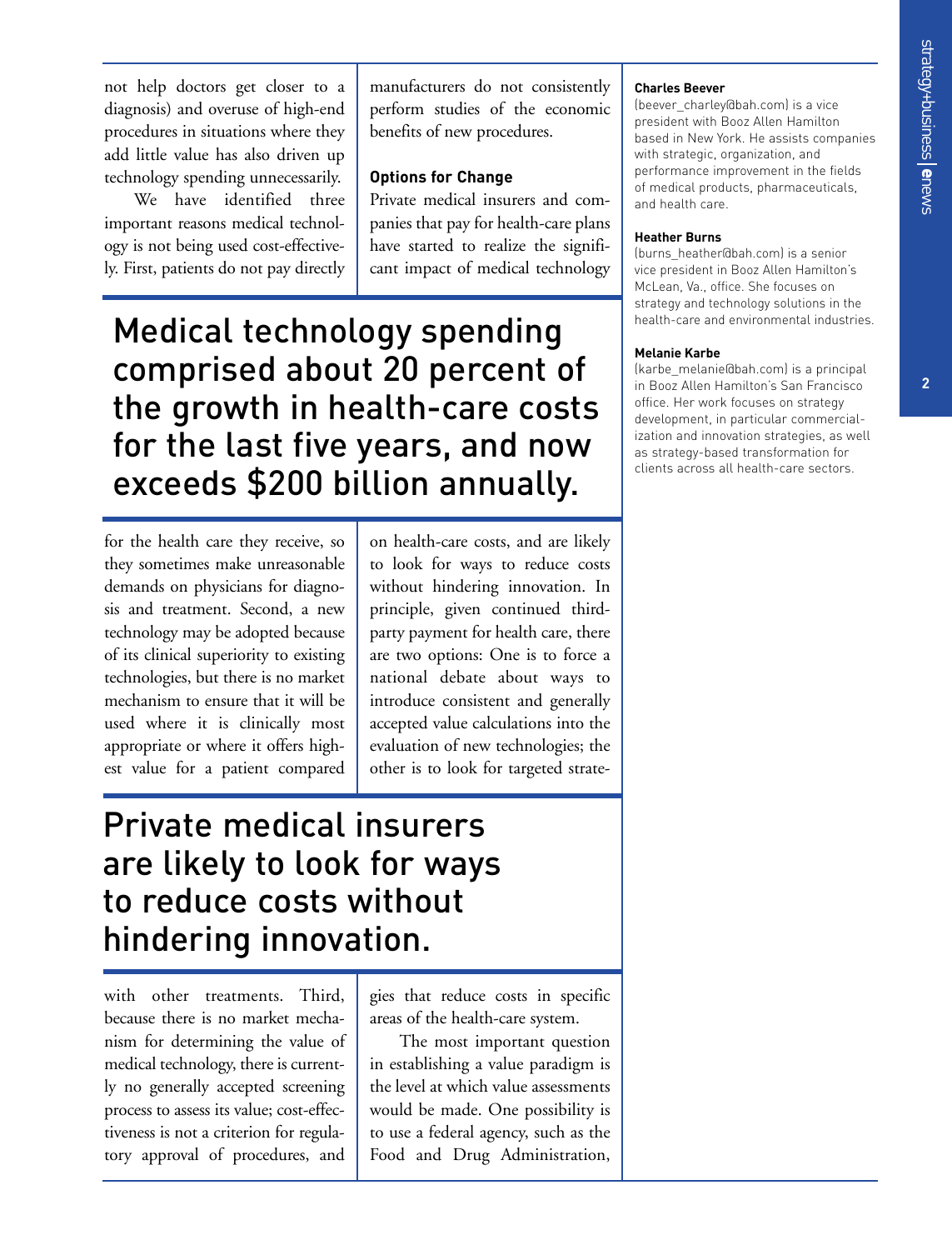**2**

not help doctors get closer to a diagnosis) and overuse of high-end procedures in situations where they add little value has also driven up technology spending unnecessarily.

We have identified three important reasons medical technology is not being used cost-effectively. First, patients do not pay directly manufacturers do not consistently perform studies of the economic benefits of new procedures.

## **Options for Change**

Private medical insurers and companies that pay for health-care plans have started to realize the significant impact of medical technology

Medical technology spending comprised about 20 percent of the growth in health-care costs for the last five years, and now exceeds \$200 billion annually.

for the health care they receive, so they sometimes make unreasonable demands on physicians for diagnosis and treatment. Second, a new technology may be adopted because of its clinical superiority to existing technologies, but there is no market mechanism to ensure that it will be used where it is clinically most appropriate or where it offers highest value for a patient compared on health-care costs, and are likely to look for ways to reduce costs without hindering innovation. In principle, given continued thirdparty payment for health care, there are two options: One is to force a national debate about ways to introduce consistent and generally accepted value calculations into the evaluation of new technologies; the other is to look for targeted strate-

# Private medical insurers are likely to look for ways to reduce costs without hindering innovation.

with other treatments. Third, because there is no market mechanism for determining the value of medical technology, there is currently no generally accepted screening process to assess its value; cost-effectiveness is not a criterion for regulatory approval of procedures, and

gies that reduce costs in specific areas of the health-care system.

The most important question in establishing a value paradigm is the level at which value assessments would be made. One possibility is to use a federal agency, such as the Food and Drug Administration,

#### **Charles Beever**

(beever\_charley@bah.com) is a vice president with Booz Allen Hamilton based in New York. He assists companies with strategic, organization, and performance improvement in the fields of medical products, pharmaceuticals, and health care.

## **Heather Burns**

(burns\_heather@bah.com) is a senior vice president in Booz Allen Hamilton's McLean, Va., office. She focuses on strategy and technology solutions in the health-care and environmental industries.

## **Melanie Karbe**

(karbe\_melanie@bah.com) is a principal in Booz Allen Hamilton's San Francisco office. Her work focuses on strategy development, in particular commercialization and innovation strategies, as well as strategy-based transformation for clients across all health-care sectors.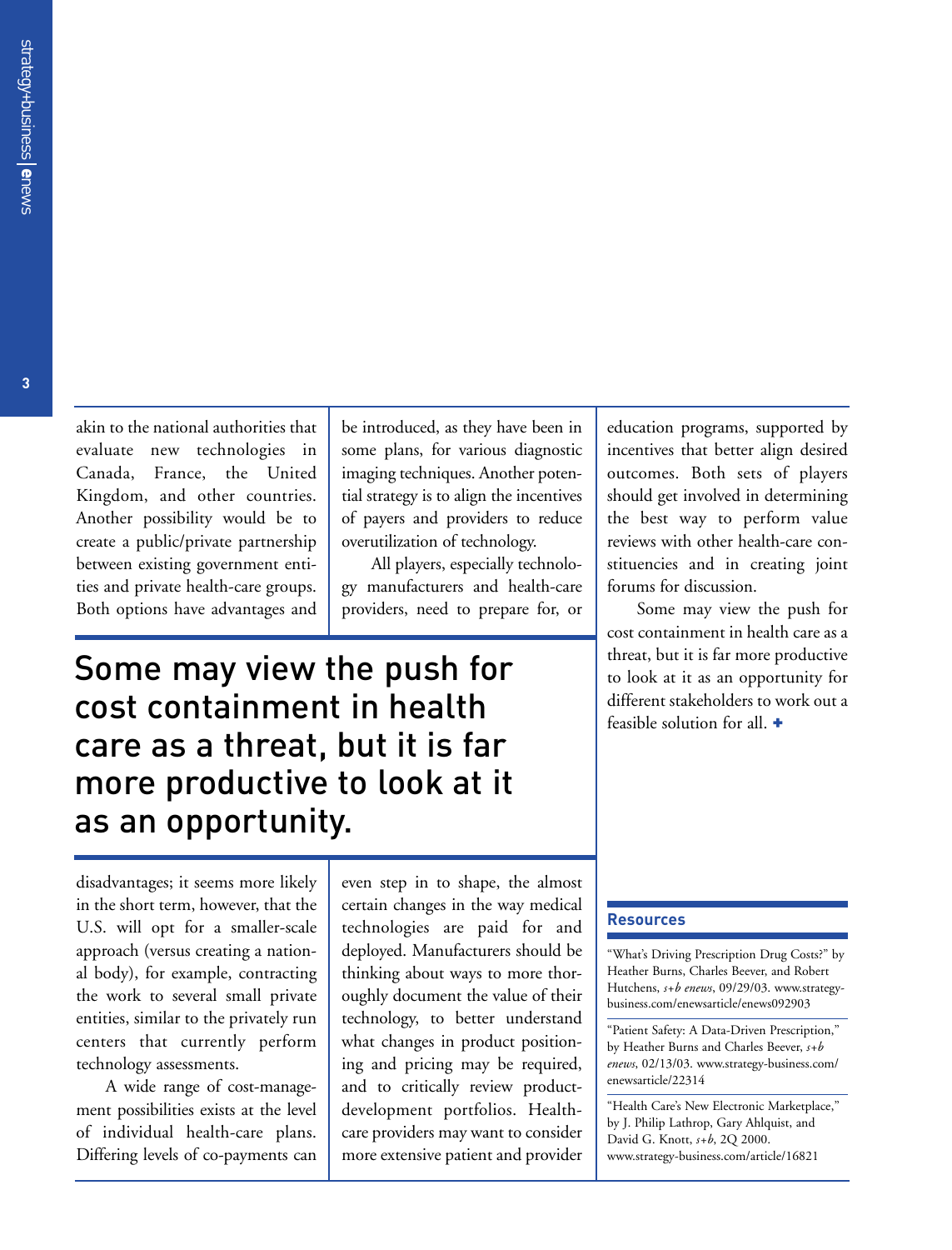akin to the national authorities that evaluate new technologies in Canada, France, the United Kingdom, and other countries. Another possibility would be to create a public/private partnership between existing government entities and private health-care groups. Both options have advantages and

be introduced, as they have been in some plans, for various diagnostic imaging techniques. Another potential strategy is to align the incentives of payers and providers to reduce overutilization of technology.

All players, especially technology manufacturers and health-care providers, need to prepare for, or

# Some may view the push for cost containment in health care as a threat, but it is far more productive to look at it as an opportunity.

disadvantages; it seems more likely in the short term, however, that the U.S. will opt for a smaller-scale approach (versus creating a national body), for example, contracting the work to several small private entities, similar to the privately run centers that currently perform technology assessments.

A wide range of cost-management possibilities exists at the level of individual health-care plans. Differing levels of co-payments can

even step in to shape, the almost certain changes in the way medical technologies are paid for and deployed. Manufacturers should be thinking about ways to more thoroughly document the value of their technology, to better understand what changes in product positioning and pricing may be required, and to critically review productdevelopment portfolios. Healthcare providers may want to consider more extensive patient and provider

education programs, supported by incentives that better align desired outcomes. Both sets of players should get involved in determining the best way to perform value reviews with other health-care constituencies and in creating joint forums for discussion.

Some may view the push for cost containment in health care as a threat, but it is far more productive to look at it as an opportunity for different stakeholders to work out a feasible solution for all. +

#### **Resources**

"What's Driving Prescription Drug Costs?" by Heather Burns, Charles Beever, and Robert Hutchens, *s+b enews*, 09/29/03. www.strategybusiness.com/enewsarticle/enews092903

"Patient Safety: A Data-Driven Prescription," by Heather Burns and Charles Beever, *s+b enews*, 02/13/03. www.strategy-business.com/ enewsarticle/22314

"Health Care's New Electronic Marketplace," by J. Philip Lathrop, Gary Ahlquist, and David G. Knott, *s+b*, 2Q 2000. www.strategy-business.com/article/16821